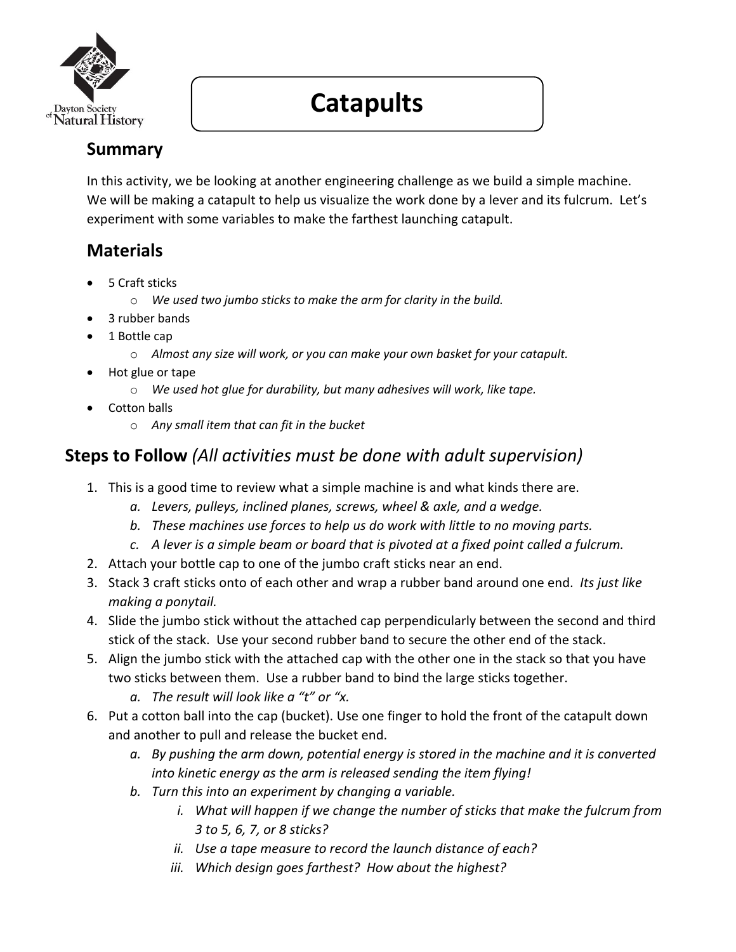

# **Catapults**

## **Summary**

In this activity, we be looking at another engineering challenge as we build a simple machine. We will be making a catapult to help us visualize the work done by a lever and its fulcrum. Let's experiment with some variables to make the farthest launching catapult.

## **Materials**

- 5 Craft sticks
	- o *We used two jumbo sticks to make the arm for clarity in the build.*
- 3 rubber bands
- 1 Bottle cap
	- o *Almost any size will work, or you can make your own basket for your catapult.*
- Hot glue or tape
	- o *We used hot glue for durability, but many adhesives will work, like tape.*
- Cotton balls
	- o *Any small item that can fit in the bucket*

## **Steps to Follow** *(All activities must be done with adult supervision)*

- 1. This is a good time to review what a simple machine is and what kinds there are.
	- *a. Levers, pulleys, inclined planes, screws, wheel & axle, and a wedge.*
	- *b. These machines use forces to help us do work with little to no moving parts.*
	- *c. A lever is a simple beam or board that is pivoted at a fixed point called a fulcrum.*
- 2. Attach your bottle cap to one of the jumbo craft sticks near an end.
- 3. Stack 3 craft sticks onto of each other and wrap a rubber band around one end. *Its just like making a ponytail.*
- 4. Slide the jumbo stick without the attached cap perpendicularly between the second and third stick of the stack. Use your second rubber band to secure the other end of the stack.
- 5. Align the jumbo stick with the attached cap with the other one in the stack so that you have two sticks between them. Use a rubber band to bind the large sticks together.
	- *a. The result will look like a "t" or "x.*
- 6. Put a cotton ball into the cap (bucket). Use one finger to hold the front of the catapult down and another to pull and release the bucket end.
	- *a. By pushing the arm down, potential energy is stored in the machine and it is converted into kinetic energy as the arm is released sending the item flying!*
	- *b. Turn this into an experiment by changing a variable.*
		- *i.* What will happen if we change the number of sticks that make the fulcrum from *3 to 5, 6, 7, or 8 sticks?*
		- *ii. Use a tape measure to record the launch distance of each?*
		- *iii. Which design goes farthest? How about the highest?*